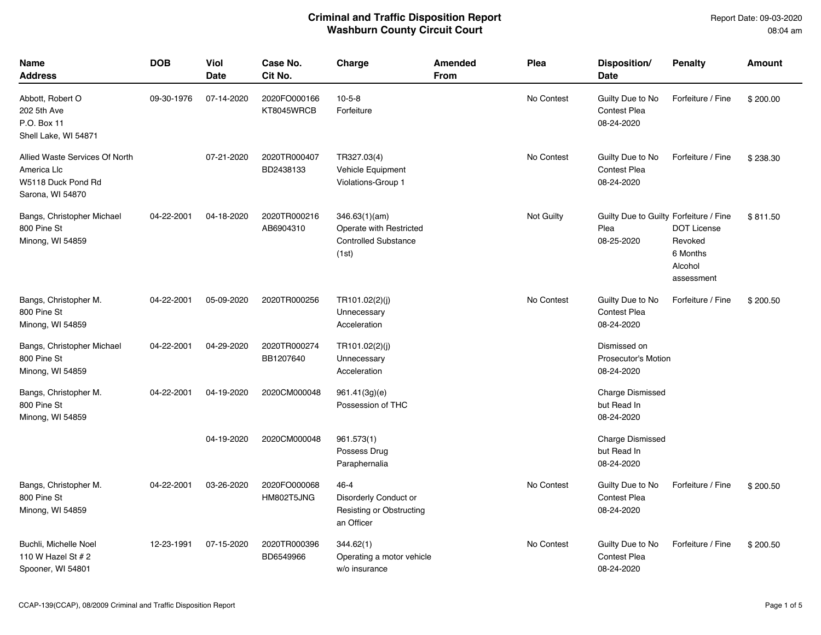Report Date: 09-03-2020 08:04 am

| <b>Name</b><br><b>Address</b>                                                           | <b>DOB</b> | Viol<br>Date | Case No.<br>Cit No.        | Charge                                                                           | <b>Amended</b><br>From | Plea       | Disposition/<br>Date                                         | <b>Penalty</b>                                                     | <b>Amount</b> |
|-----------------------------------------------------------------------------------------|------------|--------------|----------------------------|----------------------------------------------------------------------------------|------------------------|------------|--------------------------------------------------------------|--------------------------------------------------------------------|---------------|
| Abbott, Robert O<br>202 5th Ave<br>P.O. Box 11<br>Shell Lake, WI 54871                  | 09-30-1976 | 07-14-2020   | 2020FO000166<br>KT8045WRCB | $10 - 5 - 8$<br>Forfeiture                                                       |                        | No Contest | Guilty Due to No<br><b>Contest Plea</b><br>08-24-2020        | Forfeiture / Fine                                                  | \$200.00      |
| Allied Waste Services Of North<br>America Llc<br>W5118 Duck Pond Rd<br>Sarona, WI 54870 |            | 07-21-2020   | 2020TR000407<br>BD2438133  | TR327.03(4)<br>Vehicle Equipment<br>Violations-Group 1                           |                        | No Contest | Guilty Due to No<br><b>Contest Plea</b><br>08-24-2020        | Forfeiture / Fine                                                  | \$238.30      |
| Bangs, Christopher Michael<br>800 Pine St<br>Minong, WI 54859                           | 04-22-2001 | 04-18-2020   | 2020TR000216<br>AB6904310  | 346.63(1)(am)<br>Operate with Restricted<br><b>Controlled Substance</b><br>(1st) | Not Guilty             |            | Guilty Due to Guilty Forfeiture / Fine<br>Plea<br>08-25-2020 | <b>DOT License</b><br>Revoked<br>6 Months<br>Alcohol<br>assessment | \$811.50      |
| Bangs, Christopher M.<br>800 Pine St<br>Minong, WI 54859                                | 04-22-2001 | 05-09-2020   | 2020TR000256               | TR101.02(2)(j)<br>Unnecessary<br>Acceleration                                    |                        | No Contest | Guilty Due to No<br>Contest Plea<br>08-24-2020               | Forfeiture / Fine                                                  | \$200.50      |
| Bangs, Christopher Michael<br>800 Pine St<br>Minong, WI 54859                           | 04-22-2001 | 04-29-2020   | 2020TR000274<br>BB1207640  | TR101.02(2)(j)<br>Unnecessary<br>Acceleration                                    |                        |            | Dismissed on<br><b>Prosecutor's Motion</b><br>08-24-2020     |                                                                    |               |
| Bangs, Christopher M.<br>800 Pine St<br>Minong, WI 54859                                | 04-22-2001 | 04-19-2020   | 2020CM000048               | 961.41(3g)(e)<br>Possession of THC                                               |                        |            | <b>Charge Dismissed</b><br>but Read In<br>08-24-2020         |                                                                    |               |
|                                                                                         |            | 04-19-2020   | 2020CM000048               | 961.573(1)<br>Possess Drug<br>Paraphernalia                                      |                        |            | <b>Charge Dismissed</b><br>but Read In<br>08-24-2020         |                                                                    |               |
| Bangs, Christopher M.<br>800 Pine St<br>Minong, WI 54859                                | 04-22-2001 | 03-26-2020   | 2020FO000068<br>HM802T5JNG | $46 - 4$<br>Disorderly Conduct or<br>Resisting or Obstructing<br>an Officer      |                        | No Contest | Guilty Due to No<br><b>Contest Plea</b><br>08-24-2020        | Forfeiture / Fine                                                  | \$200.50      |
| Buchli, Michelle Noel<br>110 W Hazel St $# 2$<br>Spooner, WI 54801                      | 12-23-1991 | 07-15-2020   | 2020TR000396<br>BD6549966  | 344.62(1)<br>Operating a motor vehicle<br>w/o insurance                          |                        | No Contest | Guilty Due to No<br>Contest Plea<br>08-24-2020               | Forfeiture / Fine                                                  | \$200.50      |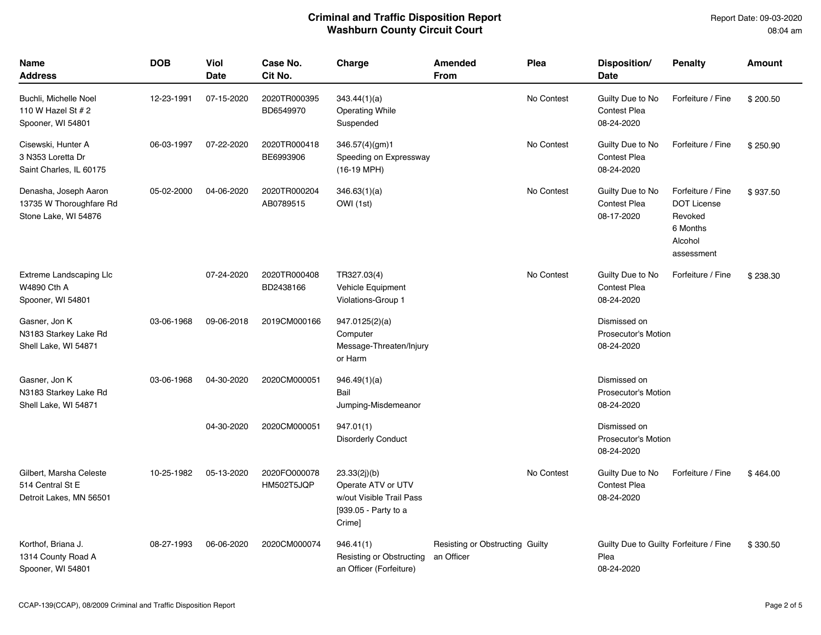Report Date: 09-03-2020 08:04 am

| <b>Name</b><br><b>Address</b>                                            | <b>DOB</b> | <b>Viol</b><br><b>Date</b> | Case No.<br>Cit No.        | Charge                                                                                           | <b>Amended</b><br><b>From</b>                 | Plea       | Disposition/<br><b>Date</b>                                  | <b>Penalty</b>                                                                          | <b>Amount</b> |
|--------------------------------------------------------------------------|------------|----------------------------|----------------------------|--------------------------------------------------------------------------------------------------|-----------------------------------------------|------------|--------------------------------------------------------------|-----------------------------------------------------------------------------------------|---------------|
| Buchli, Michelle Noel<br>110 W Hazel St $# 2$<br>Spooner, WI 54801       | 12-23-1991 | 07-15-2020                 | 2020TR000395<br>BD6549970  | 343.44(1)(a)<br><b>Operating While</b><br>Suspended                                              |                                               | No Contest | Guilty Due to No<br><b>Contest Plea</b><br>08-24-2020        | Forfeiture / Fine                                                                       | \$200.50      |
| Cisewski, Hunter A<br>3 N353 Loretta Dr<br>Saint Charles, IL 60175       | 06-03-1997 | 07-22-2020                 | 2020TR000418<br>BE6993906  | 346.57(4)(gm)1<br>Speeding on Expressway<br>(16-19 MPH)                                          |                                               | No Contest | Guilty Due to No<br><b>Contest Plea</b><br>08-24-2020        | Forfeiture / Fine                                                                       | \$250.90      |
| Denasha, Joseph Aaron<br>13735 W Thoroughfare Rd<br>Stone Lake, WI 54876 | 05-02-2000 | 04-06-2020                 | 2020TR000204<br>AB0789515  | 346.63(1)(a)<br>OWI (1st)                                                                        |                                               | No Contest | Guilty Due to No<br><b>Contest Plea</b><br>08-17-2020        | Forfeiture / Fine<br><b>DOT License</b><br>Revoked<br>6 Months<br>Alcohol<br>assessment | \$937.50      |
| <b>Extreme Landscaping Llc</b><br>W4890 Cth A<br>Spooner, WI 54801       |            | 07-24-2020                 | 2020TR000408<br>BD2438166  | TR327.03(4)<br>Vehicle Equipment<br>Violations-Group 1                                           |                                               | No Contest | Guilty Due to No<br><b>Contest Plea</b><br>08-24-2020        | Forfeiture / Fine                                                                       | \$238.30      |
| Gasner, Jon K<br>N3183 Starkey Lake Rd<br>Shell Lake, WI 54871           | 03-06-1968 | 09-06-2018                 | 2019CM000166               | 947.0125(2)(a)<br>Computer<br>Message-Threaten/Injury<br>or Harm                                 |                                               |            | Dismissed on<br><b>Prosecutor's Motion</b><br>08-24-2020     |                                                                                         |               |
| Gasner, Jon K<br>N3183 Starkey Lake Rd<br>Shell Lake, WI 54871           | 03-06-1968 | 04-30-2020                 | 2020CM000051               | 946.49(1)(a)<br>Bail<br>Jumping-Misdemeanor                                                      |                                               |            | Dismissed on<br>Prosecutor's Motion<br>08-24-2020            |                                                                                         |               |
|                                                                          |            | 04-30-2020                 | 2020CM000051               | 947.01(1)<br><b>Disorderly Conduct</b>                                                           |                                               |            | Dismissed on<br><b>Prosecutor's Motion</b><br>08-24-2020     |                                                                                         |               |
| Gilbert, Marsha Celeste<br>514 Central St E<br>Detroit Lakes, MN 56501   | 10-25-1982 | 05-13-2020                 | 2020FO000078<br>HM502T5JQP | 23.33(2j)(b)<br>Operate ATV or UTV<br>w/out Visible Trail Pass<br>[939.05 - Party to a<br>Crime] |                                               | No Contest | Guilty Due to No<br><b>Contest Plea</b><br>08-24-2020        | Forfeiture / Fine                                                                       | \$464.00      |
| Korthof, Briana J.<br>1314 County Road A<br>Spooner, WI 54801            | 08-27-1993 | 06-06-2020                 | 2020CM000074               | 946.41(1)<br>Resisting or Obstructing<br>an Officer (Forfeiture)                                 | Resisting or Obstructing Guilty<br>an Officer |            | Guilty Due to Guilty Forfeiture / Fine<br>Plea<br>08-24-2020 |                                                                                         | \$330.50      |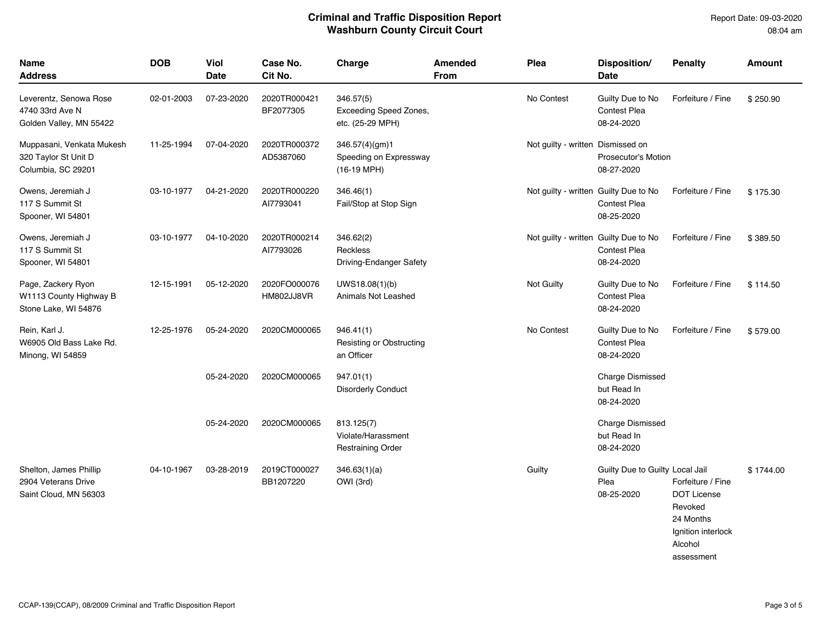| Name<br><b>Address</b>                                                  | <b>DOB</b> | Viol<br>Date | Case No.<br>Cit No.        | Charge                                                            | <b>Amended</b><br><b>From</b> | Plea                                  | Disposition/<br>Date                                  | <b>Penalty</b>                                                                                                 | <b>Amount</b> |
|-------------------------------------------------------------------------|------------|--------------|----------------------------|-------------------------------------------------------------------|-------------------------------|---------------------------------------|-------------------------------------------------------|----------------------------------------------------------------------------------------------------------------|---------------|
| Leverentz, Senowa Rose<br>4740 33rd Ave N<br>Golden Valley, MN 55422    | 02-01-2003 | 07-23-2020   | 2020TR000421<br>BF2077305  | 346.57(5)<br><b>Exceeding Speed Zones,</b><br>etc. (25-29 MPH)    |                               | No Contest                            | Guilty Due to No<br><b>Contest Plea</b><br>08-24-2020 | Forfeiture / Fine                                                                                              | \$250.90      |
| Muppasani, Venkata Mukesh<br>320 Taylor St Unit D<br>Columbia, SC 29201 | 11-25-1994 | 07-04-2020   | 2020TR000372<br>AD5387060  | 346.57(4)(gm)1<br>Speeding on Expressway<br>$(16-19 \text{ MPH})$ |                               | Not guilty - written Dismissed on     | Prosecutor's Motion<br>08-27-2020                     |                                                                                                                |               |
| Owens, Jeremiah J<br>117 S Summit St<br>Spooner, WI 54801               | 03-10-1977 | 04-21-2020   | 2020TR000220<br>Al7793041  | 346.46(1)<br>Fail/Stop at Stop Sign                               |                               | Not guilty - written Guilty Due to No | <b>Contest Plea</b><br>08-25-2020                     | Forfeiture / Fine                                                                                              | \$175.30      |
| Owens, Jeremiah J<br>117 S Summit St<br>Spooner, WI 54801               | 03-10-1977 | 04-10-2020   | 2020TR000214<br>AI7793026  | 346.62(2)<br><b>Reckless</b><br>Driving-Endanger Safety           |                               | Not guilty - written Guilty Due to No | <b>Contest Plea</b><br>08-24-2020                     | Forfeiture / Fine                                                                                              | \$389.50      |
| Page, Zackery Ryon<br>W1113 County Highway B<br>Stone Lake, WI 54876    | 12-15-1991 | 05-12-2020   | 2020FO000076<br>HM802JJ8VR | UWS18.08(1)(b)<br>Animals Not Leashed                             |                               | Not Guilty                            | Guilty Due to No<br><b>Contest Plea</b><br>08-24-2020 | Forfeiture / Fine                                                                                              | \$114.50      |
| Rein, Karl J.<br>W6905 Old Bass Lake Rd.<br>Minong, WI 54859            | 12-25-1976 | 05-24-2020   | 2020CM000065               | 946.41(1)<br>Resisting or Obstructing<br>an Officer               |                               | No Contest                            | Guilty Due to No<br><b>Contest Plea</b><br>08-24-2020 | Forfeiture / Fine                                                                                              | \$579.00      |
|                                                                         |            | 05-24-2020   | 2020CM000065               | 947.01(1)<br><b>Disorderly Conduct</b>                            |                               |                                       | <b>Charge Dismissed</b><br>but Read In<br>08-24-2020  |                                                                                                                |               |
|                                                                         |            | 05-24-2020   | 2020CM000065               | 813.125(7)<br>Violate/Harassment<br><b>Restraining Order</b>      |                               |                                       | <b>Charge Dismissed</b><br>but Read In<br>08-24-2020  |                                                                                                                |               |
| Shelton, James Phillip<br>2904 Veterans Drive<br>Saint Cloud, MN 56303  | 04-10-1967 | 03-28-2019   | 2019CT000027<br>BB1207220  | 346.63(1)(a)<br>OWI (3rd)                                         |                               | Guilty                                | Guilty Due to Guilty Local Jail<br>Plea<br>08-25-2020 | Forfeiture / Fine<br><b>DOT License</b><br>Revoked<br>24 Months<br>Ignition interlock<br>Alcohol<br>assessment | \$1744.00     |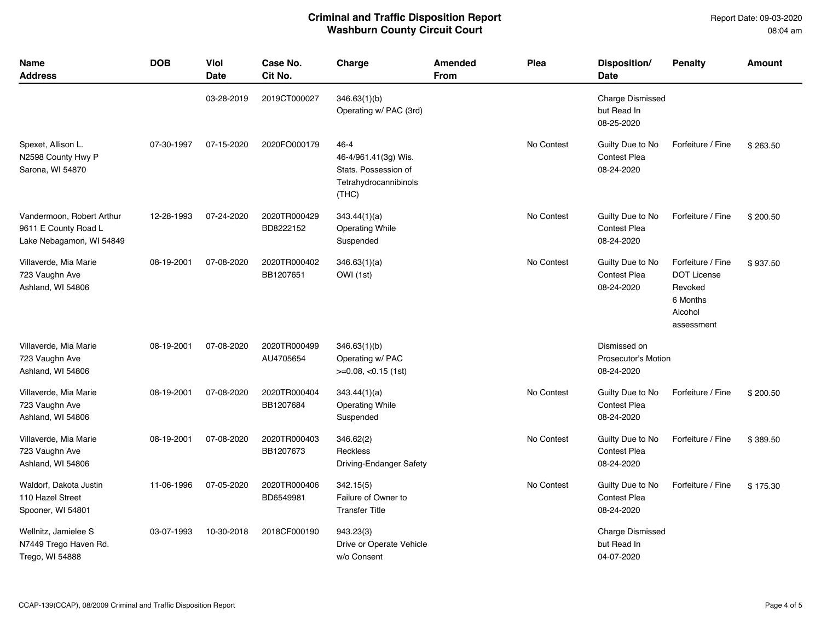Report Date: 09-03-2020 08:04 am

| Name<br><b>Address</b>                                                        | <b>DOB</b> | Viol<br><b>Date</b> | Case No.<br>Cit No.       | Charge                                                                                 | Amended<br><b>From</b> | Plea       | Disposition/<br>Date                                  | <b>Penalty</b>                                                                          | Amount   |
|-------------------------------------------------------------------------------|------------|---------------------|---------------------------|----------------------------------------------------------------------------------------|------------------------|------------|-------------------------------------------------------|-----------------------------------------------------------------------------------------|----------|
|                                                                               |            | 03-28-2019          | 2019CT000027              | 346.63(1)(b)<br>Operating w/ PAC (3rd)                                                 |                        |            | <b>Charge Dismissed</b><br>but Read In<br>08-25-2020  |                                                                                         |          |
| Spexet, Allison L.<br>N2598 County Hwy P<br>Sarona, WI 54870                  | 07-30-1997 | 07-15-2020          | 2020FO000179              | 46-4<br>46-4/961.41(3g) Wis.<br>Stats. Possession of<br>Tetrahydrocannibinols<br>(THC) |                        | No Contest | Guilty Due to No<br>Contest Plea<br>08-24-2020        | Forfeiture / Fine                                                                       | \$263.50 |
| Vandermoon, Robert Arthur<br>9611 E County Road L<br>Lake Nebagamon, WI 54849 | 12-28-1993 | 07-24-2020          | 2020TR000429<br>BD8222152 | 343.44(1)(a)<br><b>Operating While</b><br>Suspended                                    |                        | No Contest | Guilty Due to No<br><b>Contest Plea</b><br>08-24-2020 | Forfeiture / Fine                                                                       | \$200.50 |
| Villaverde, Mia Marie<br>723 Vaughn Ave<br>Ashland, WI 54806                  | 08-19-2001 | 07-08-2020          | 2020TR000402<br>BB1207651 | 346.63(1)(a)<br>OWI (1st)                                                              |                        | No Contest | Guilty Due to No<br><b>Contest Plea</b><br>08-24-2020 | Forfeiture / Fine<br><b>DOT License</b><br>Revoked<br>6 Months<br>Alcohol<br>assessment | \$937.50 |
| Villaverde, Mia Marie<br>723 Vaughn Ave<br>Ashland, WI 54806                  | 08-19-2001 | 07-08-2020          | 2020TR000499<br>AU4705654 | 346.63(1)(b)<br>Operating w/ PAC<br>$>=0.08, <0.15$ (1st)                              |                        |            | Dismissed on<br>Prosecutor's Motion<br>08-24-2020     |                                                                                         |          |
| Villaverde, Mia Marie<br>723 Vaughn Ave<br>Ashland, WI 54806                  | 08-19-2001 | 07-08-2020          | 2020TR000404<br>BB1207684 | 343.44(1)(a)<br><b>Operating While</b><br>Suspended                                    |                        | No Contest | Guilty Due to No<br><b>Contest Plea</b><br>08-24-2020 | Forfeiture / Fine                                                                       | \$200.50 |
| Villaverde, Mia Marie<br>723 Vaughn Ave<br>Ashland, WI 54806                  | 08-19-2001 | 07-08-2020          | 2020TR000403<br>BB1207673 | 346.62(2)<br>Reckless<br>Driving-Endanger Safety                                       |                        | No Contest | Guilty Due to No<br><b>Contest Plea</b><br>08-24-2020 | Forfeiture / Fine                                                                       | \$389.50 |
| Waldorf, Dakota Justin<br>110 Hazel Street<br>Spooner, WI 54801               | 11-06-1996 | 07-05-2020          | 2020TR000406<br>BD6549981 | 342.15(5)<br>Failure of Owner to<br><b>Transfer Title</b>                              |                        | No Contest | Guilty Due to No<br><b>Contest Plea</b><br>08-24-2020 | Forfeiture / Fine                                                                       | \$175.30 |
| Wellnitz, Jamielee S<br>N7449 Trego Haven Rd.<br>Trego, WI 54888              | 03-07-1993 | 10-30-2018          | 2018CF000190              | 943.23(3)<br>Drive or Operate Vehicle<br>w/o Consent                                   |                        |            | <b>Charge Dismissed</b><br>but Read In<br>04-07-2020  |                                                                                         |          |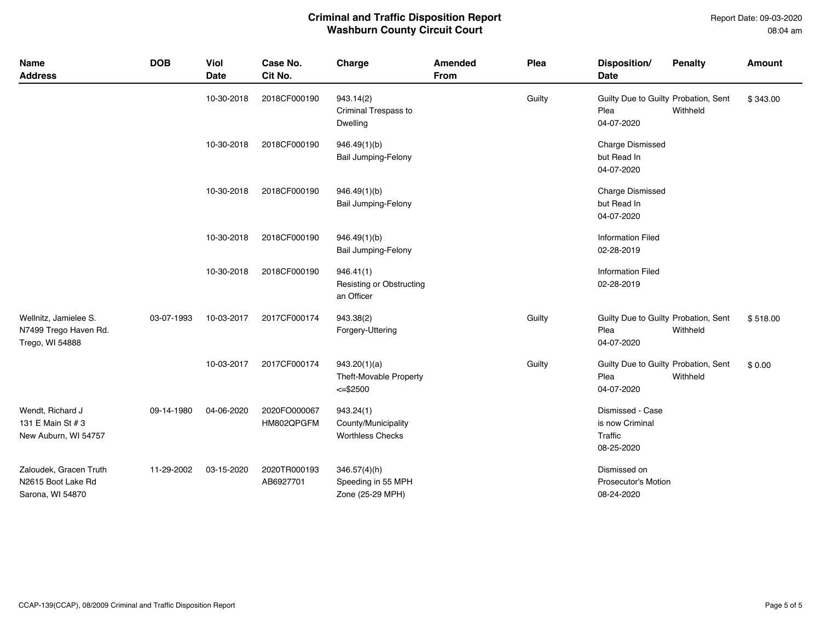Report Date: 09-03-2020 08:04 am

### **Criminal and Traffic Disposition Report Washburn County Circuit Court**

| <b>Name</b><br><b>Address</b>                                     | <b>DOB</b> | Viol<br><b>Date</b> | Case No.<br>Cit No.        | Charge                                                      | Amended<br><b>From</b> | Plea   | Disposition/<br><b>Date</b>                                  | <b>Penalty</b> | Amount   |
|-------------------------------------------------------------------|------------|---------------------|----------------------------|-------------------------------------------------------------|------------------------|--------|--------------------------------------------------------------|----------------|----------|
|                                                                   |            | 10-30-2018          | 2018CF000190               | 943.14(2)<br>Criminal Trespass to<br>Dwelling               |                        | Guilty | Guilty Due to Guilty Probation, Sent<br>Plea<br>04-07-2020   | Withheld       | \$343.00 |
|                                                                   |            | 10-30-2018          | 2018CF000190               | 946.49(1)(b)<br><b>Bail Jumping-Felony</b>                  |                        |        | Charge Dismissed<br>but Read In<br>04-07-2020                |                |          |
|                                                                   |            | 10-30-2018          | 2018CF000190               | 946.49(1)(b)<br><b>Bail Jumping-Felony</b>                  |                        |        | <b>Charge Dismissed</b><br>but Read In<br>04-07-2020         |                |          |
|                                                                   |            | 10-30-2018          | 2018CF000190               | 946.49(1)(b)<br><b>Bail Jumping-Felony</b>                  |                        |        | <b>Information Filed</b><br>02-28-2019                       |                |          |
|                                                                   |            | 10-30-2018          | 2018CF000190               | 946.41(1)<br>Resisting or Obstructing<br>an Officer         |                        |        | <b>Information Filed</b><br>02-28-2019                       |                |          |
| Wellnitz, Jamielee S.<br>N7499 Trego Haven Rd.<br>Trego, WI 54888 | 03-07-1993 | 10-03-2017          | 2017CF000174               | 943.38(2)<br>Forgery-Uttering                               |                        | Guilty | Guilty Due to Guilty Probation, Sent<br>Plea<br>04-07-2020   | Withheld       | \$518.00 |
|                                                                   |            | 10-03-2017          | 2017CF000174               | 943.20(1)(a)<br>Theft-Movable Property<br>$<=$ \$2500       |                        | Guilty | Guilty Due to Guilty Probation, Sent<br>Plea<br>04-07-2020   | Withheld       | \$0.00   |
| Wendt, Richard J<br>131 E Main St # 3<br>New Auburn, WI 54757     | 09-14-1980 | 04-06-2020          | 2020FO000067<br>HM802QPGFM | 943.24(1)<br>County/Municipality<br><b>Worthless Checks</b> |                        |        | Dismissed - Case<br>is now Criminal<br>Traffic<br>08-25-2020 |                |          |
| Zaloudek, Gracen Truth<br>N2615 Boot Lake Rd<br>Sarona, WI 54870  | 11-29-2002 | 03-15-2020          | 2020TR000193<br>AB6927701  | 346.57(4)(h)<br>Speeding in 55 MPH<br>Zone (25-29 MPH)      |                        |        | Dismissed on<br>Prosecutor's Motion<br>08-24-2020            |                |          |